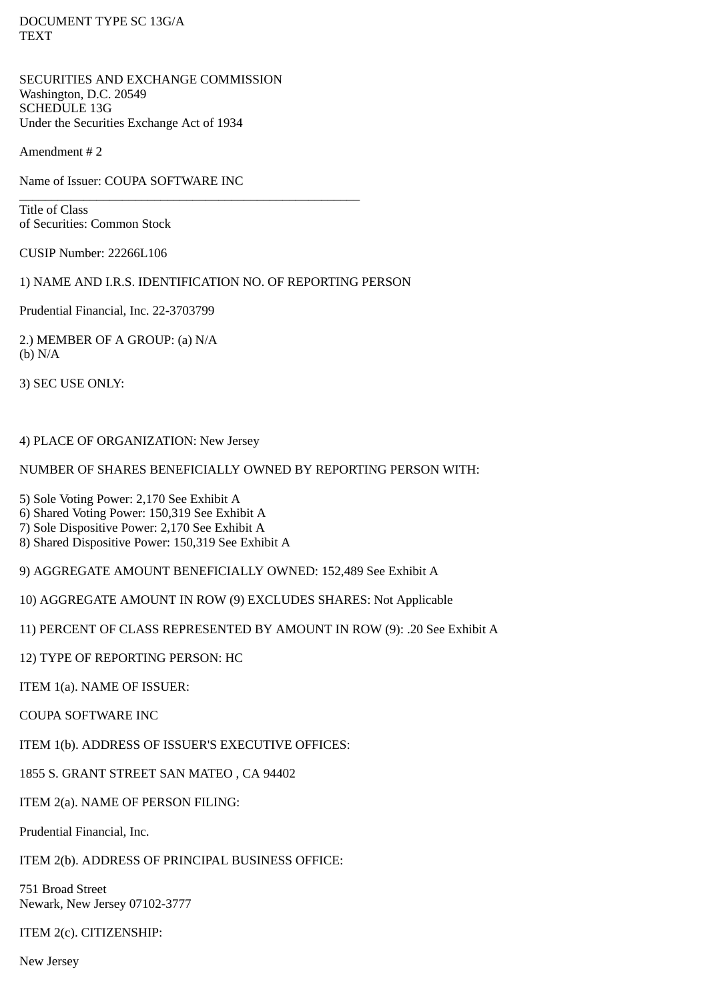DOCUMENT TYPE SC 13G/A **TEXT** 

SECURITIES AND EXCHANGE COMMISSION Washington, D.C. 20549 SCHEDULE 13G Under the Securities Exchange Act of 1934

Amendment # 2

Name of Issuer: COUPA SOFTWARE INC

Title of Class of Securities: Common Stock

CUSIP Number: 22266L106

1) NAME AND I.R.S. IDENTIFICATION NO. OF REPORTING PERSON

\_\_\_\_\_\_\_\_\_\_\_\_\_\_\_\_\_\_\_\_\_\_\_\_\_\_\_\_\_\_\_\_\_\_\_\_\_\_\_\_\_\_\_\_\_\_\_\_\_\_\_\_\_

Prudential Financial, Inc. 22-3703799

2.) MEMBER OF A GROUP: (a) N/A (b) N/A

3) SEC USE ONLY:

# 4) PLACE OF ORGANIZATION: New Jersey

# NUMBER OF SHARES BENEFICIALLY OWNED BY REPORTING PERSON WITH:

5) Sole Voting Power: 2,170 See Exhibit A

6) Shared Voting Power: 150,319 See Exhibit A

7) Sole Dispositive Power: 2,170 See Exhibit A

8) Shared Dispositive Power: 150,319 See Exhibit A

9) AGGREGATE AMOUNT BENEFICIALLY OWNED: 152,489 See Exhibit A

10) AGGREGATE AMOUNT IN ROW (9) EXCLUDES SHARES: Not Applicable

11) PERCENT OF CLASS REPRESENTED BY AMOUNT IN ROW (9): .20 See Exhibit A

12) TYPE OF REPORTING PERSON: HC

ITEM 1(a). NAME OF ISSUER:

COUPA SOFTWARE INC

ITEM 1(b). ADDRESS OF ISSUER'S EXECUTIVE OFFICES:

1855 S. GRANT STREET SAN MATEO , CA 94402

ITEM 2(a). NAME OF PERSON FILING:

Prudential Financial, Inc.

ITEM 2(b). ADDRESS OF PRINCIPAL BUSINESS OFFICE:

751 Broad Street Newark, New Jersey 07102-3777

ITEM 2(c). CITIZENSHIP:

New Jersey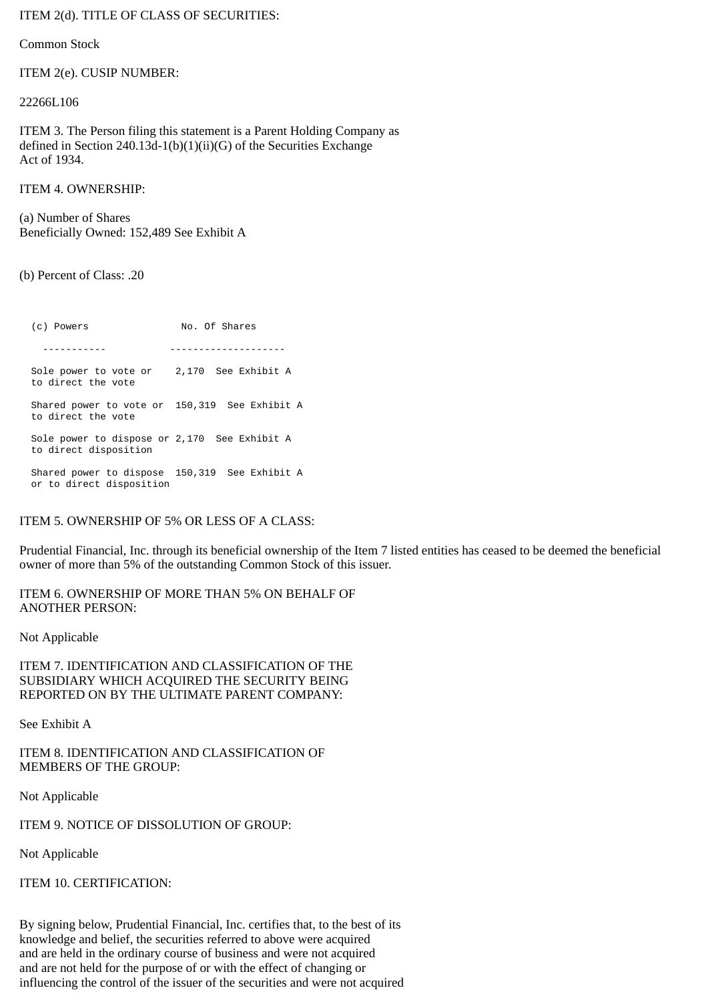ITEM 2(d). TITLE OF CLASS OF SECURITIES:

Common Stock

ITEM 2(e). CUSIP NUMBER:

22266L106

ITEM 3. The Person filing this statement is a Parent Holding Company as defined in Section 240.13d-1(b)(1)(ii)(G) of the Securities Exchange Act of 1934.

ITEM 4. OWNERSHIP:

(a) Number of Shares Beneficially Owned: 152,489 See Exhibit A

(b) Percent of Class: .20

(c) Powers No. Of Shares ----------- -------------------- Sole power to vote or 2,170 See Exhibit A to direct the vote Shared power to vote or 150,319 See Exhibit A to direct the vote Sole power to dispose or 2,170 See Exhibit A to direct disposition Shared power to dispose 150,319 See Exhibit A or to direct disposition

### ITEM 5. OWNERSHIP OF 5% OR LESS OF A CLASS:

Prudential Financial, Inc. through its beneficial ownership of the Item 7 listed entities has ceased to be deemed the beneficial owner of more than 5% of the outstanding Common Stock of this issuer.

ITEM 6. OWNERSHIP OF MORE THAN 5% ON BEHALF OF ANOTHER PERSON:

Not Applicable

ITEM 7. IDENTIFICATION AND CLASSIFICATION OF THE SUBSIDIARY WHICH ACQUIRED THE SECURITY BEING REPORTED ON BY THE ULTIMATE PARENT COMPANY:

See Exhibit A

ITEM 8. IDENTIFICATION AND CLASSIFICATION OF MEMBERS OF THE GROUP:

Not Applicable

ITEM 9. NOTICE OF DISSOLUTION OF GROUP:

Not Applicable

ITEM 10. CERTIFICATION:

By signing below, Prudential Financial, Inc. certifies that, to the best of its knowledge and belief, the securities referred to above were acquired and are held in the ordinary course of business and were not acquired and are not held for the purpose of or with the effect of changing or influencing the control of the issuer of the securities and were not acquired